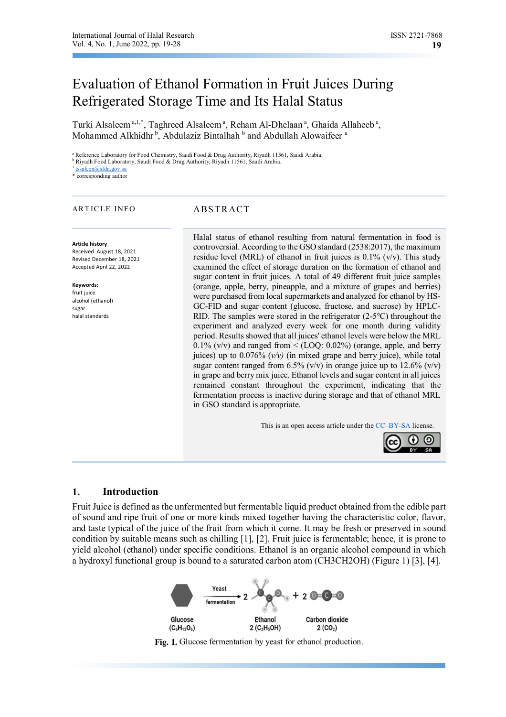# Evaluation of Ethanol Formation in Fruit Juices During Refrigerated Storage Time and Its Halal Status

Turki Alsaleem<sup>a,1,\*</sup>, Taghreed Alsaleem<sup>a</sup>, Reham Al-Dhelaan<sup>a</sup>, Ghaida Allaheeb<sup>a</sup>, Mohammed Alkhidhr<sup>b</sup>, Abdulaziz Bintalhah b and Abdullah Alowaifeer<sup>a</sup>

a Reference Laboratory for Food Chemistry, Saudi Food & Drug Authority, Riyadh 11561, Saudi Arabia.

<sup>b</sup> Riyadh Food Laboratory, Saudi Food & Drug Authority, Riyadh 11561, Saudi Arabia.

<sup>1</sup> tssaleen@sfda.gov.sa

\* corresponding author

#### **Article history**

Received August 18, 2021 Revised December 18, 2021 Accepted April 22, 2022

**Keywords:**  fruit juice alcohol (ethanol) sugar halal standards

# ARTICLE INFO ABSTRACT

Halal status of ethanol resulting from natural fermentation in food is controversial. According to the GSO standard (2538:2017), the maximum residue level (MRL) of ethanol in fruit juices is  $0.1\%$  (v/v). This study examined the effect of storage duration on the formation of ethanol and sugar content in fruit juices. A total of 49 different fruit juice samples (orange, apple, berry, pineapple, and a mixture of grapes and berries) were purchased from local supermarkets and analyzed for ethanol by HS-GC-FID and sugar content (glucose, fructose, and sucrose) by HPLC-RID. The samples were stored in the refrigerator (2-5℃) throughout the experiment and analyzed every week for one month during validity period. Results showed that all juices' ethanol levels were below the MRL 0.1% (v/v) and ranged from  $\leq$  (LOQ: 0.02%) (orange, apple, and berry juices) up to  $0.076\%$  ( $v/v$ ) (in mixed grape and berry juice), while total sugar content ranged from 6.5% (v/v) in orange juice up to 12.6% (v/v) in grape and berry mix juice. Ethanol levels and sugar content in all juices remained constant throughout the experiment, indicating that the fermentation process is inactive during storage and that of ethanol MRL in GSO standard is appropriate.

This is an open access article under the CC–BY-SA license.



#### **1. Introduction**

Fruit Juice is defined as the unfermented but fermentable liquid product obtained from the edible part of sound and ripe fruit of one or more kinds mixed together having the characteristic color, flavor, and taste typical of the juice of the fruit from which it come. It may be fresh or preserved in sound condition by suitable means such as chilling [1], [2]. Fruit juice is fermentable; hence, it is prone to yield alcohol (ethanol) under specific conditions. Ethanol is an organic alcohol compound in which a hydroxyl functional group is bound to a saturated carbon atom (CH3CH2OH) (Figure 1) [3], [4].



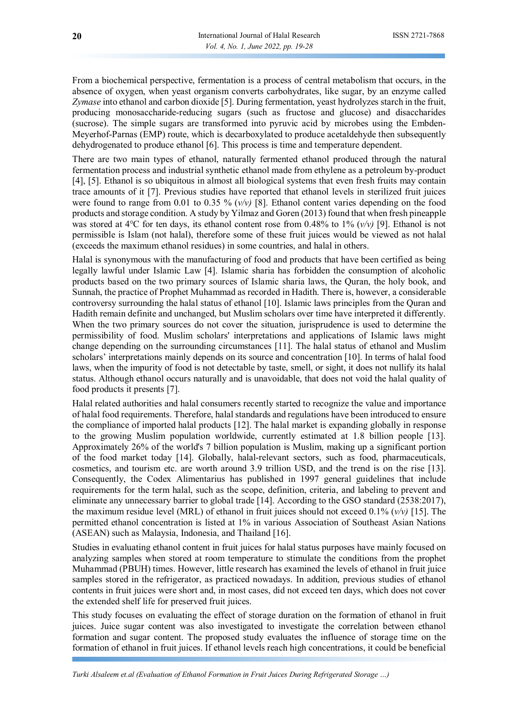From a biochemical perspective, fermentation is a process of central metabolism that occurs, in the absence of oxygen, when yeast organism converts carbohydrates, like sugar, by an enzyme called *Zymase* into ethanol and carbon dioxide [5]. During fermentation, yeast hydrolyzes starch in the fruit, producing monosaccharide-reducing sugars (such as fructose and glucose) and disaccharides (sucrose). The simple sugars are transformed into pyruvic acid by microbes using the Embden-Meyerhof-Parnas (EMP) route, which is decarboxylated to produce acetaldehyde then subsequently dehydrogenated to produce ethanol [6]. This process is time and temperature dependent.

There are two main types of ethanol, naturally fermented ethanol produced through the natural fermentation process and industrial synthetic ethanol made from ethylene as a petroleum by-product [4], [5]. Ethanol is so ubiquitous in almost all biological systems that even fresh fruits may contain trace amounts of it [7]. Previous studies have reported that ethanol levels in sterilized fruit juices were found to range from 0.01 to 0.35 %  $(v/v)$  [8]. Ethanol content varies depending on the food products and storage condition. A study by Yilmaz and Goren (2013) found that when fresh pineapple was stored at 4℃ for ten days, its ethanol content rose from 0.48% to 1% (*v/v)* [9]. Ethanol is not permissible is Islam (not halal), therefore some of these fruit juices would be viewed as not halal (exceeds the maximum ethanol residues) in some countries, and halal in others.

Halal is synonymous with the manufacturing of food and products that have been certified as being legally lawful under Islamic Law [4]. Islamic sharia has forbidden the consumption of alcoholic products based on the two primary sources of Islamic sharia laws, the Quran, the holy book, and Sunnah, the practice of Prophet Muhammad as recorded in Hadith. There is, however, a considerable controversy surrounding the halal status of ethanol [10]. Islamic laws principles from the Quran and Hadith remain definite and unchanged, but Muslim scholars over time have interpreted it differently. When the two primary sources do not cover the situation, jurisprudence is used to determine the permissibility of food. Muslim scholars' interpretations and applications of Islamic laws might change depending on the surrounding circumstances [11]. The halal status of ethanol and Muslim scholars' interpretations mainly depends on its source and concentration [10]. In terms of halal food laws, when the impurity of food is not detectable by taste, smell, or sight, it does not nullify its halal status. Although ethanol occurs naturally and is unavoidable, that does not void the halal quality of food products it presents [7].

Halal related authorities and halal consumers recently started to recognize the value and importance of halal food requirements. Therefore, halal standards and regulations have been introduced to ensure the compliance of imported halal products [12]. The halal market is expanding globally in response to the growing Muslim population worldwide, currently estimated at 1.8 billion people [13]. Approximately 26% of the world's 7 billion population is Muslim, making up a significant portion of the food market today [14]. Globally, halal-relevant sectors, such as food, pharmaceuticals, cosmetics, and tourism etc. are worth around 3.9 trillion USD, and the trend is on the rise [13]. Consequently, the Codex Alimentarius has published in 1997 general guidelines that include requirements for the term halal, such as the scope, definition, criteria, and labeling to prevent and eliminate any unnecessary barrier to global trade [14]. According to the GSO standard (2538:2017), the maximum residue level (MRL) of ethanol in fruit juices should not exceed 0.1% (*v/v)* [15]. The permitted ethanol concentration is listed at 1% in various Association of Southeast Asian Nations (ASEAN) such as Malaysia, Indonesia, and Thailand [16].

Studies in evaluating ethanol content in fruit juices for halal status purposes have mainly focused on analyzing samples when stored at room temperature to stimulate the conditions from the prophet Muhammad (PBUH) times. However, little research has examined the levels of ethanol in fruit juice samples stored in the refrigerator, as practiced nowadays. In addition, previous studies of ethanol contents in fruit juices were short and, in most cases, did not exceed ten days, which does not cover the extended shelf life for preserved fruit juices.

This study focuses on evaluating the effect of storage duration on the formation of ethanol in fruit juices. Juice sugar content was also investigated to investigate the correlation between ethanol formation and sugar content. The proposed study evaluates the influence of storage time on the formation of ethanol in fruit juices. If ethanol levels reach high concentrations, it could be beneficial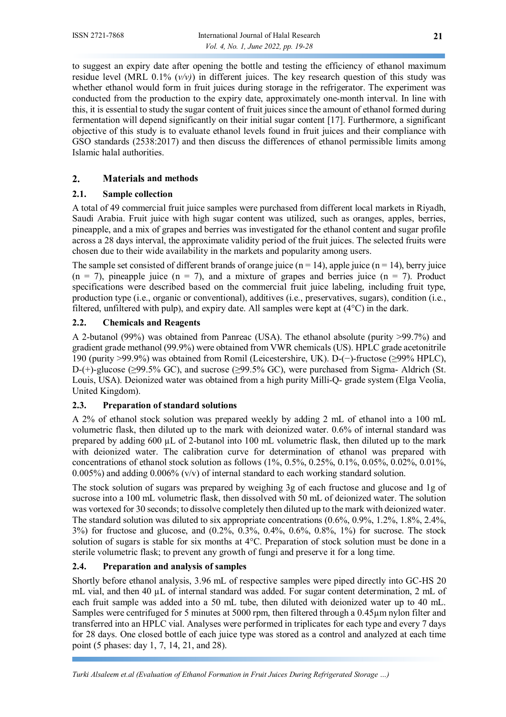to suggest an expiry date after opening the bottle and testing the efficiency of ethanol maximum residue level (MRL  $0.1\%$  ( $v/v$ )) in different juices. The key research question of this study was whether ethanol would form in fruit juices during storage in the refrigerator. The experiment was conducted from the production to the expiry date, approximately one-month interval. In line with this, it is essential to study the sugar content of fruit juices since the amount of ethanol formed during fermentation will depend significantly on their initial sugar content [17]. Furthermore, a significant objective of this study is to evaluate ethanol levels found in fruit juices and their compliance with GSO standards (2538:2017) and then discuss the differences of ethanol permissible limits among Islamic halal authorities.

# **2. Materials and methods**

#### **2.1. Sample collection**

A total of 49 commercial fruit juice samples were purchased from different local markets in Riyadh, Saudi Arabia. Fruit juice with high sugar content was utilized, such as oranges, apples, berries, pineapple, and a mix of grapes and berries was investigated for the ethanol content and sugar profile across a 28 days interval, the approximate validity period of the fruit juices. The selected fruits were chosen due to their wide availability in the markets and popularity among users.

The sample set consisted of different brands of orange juice ( $n = 14$ ), apple juice ( $n = 14$ ), berry juice  $(n = 7)$ , pineapple juice  $(n = 7)$ , and a mixture of grapes and berries juice  $(n = 7)$ . Product specifications were described based on the commercial fruit juice labeling, including fruit type, production type (i.e., organic or conventional), additives (i.e., preservatives, sugars), condition (i.e., filtered, unfiltered with pulp), and expiry date. All samples were kept at  $(4^{\circ}C)$  in the dark.

#### **2.2. Chemicals and Reagents**

A 2-butanol (99%) was obtained from Panreac (USA). The ethanol absolute (purity >99.7%) and gradient grade methanol (99.9%) were obtained from VWR chemicals (US). HPLC grade acetonitrile 190 (purity >99.9%) was obtained from Romil (Leicestershire, UK). D-(−)-fructose (≥99% HPLC), D-(+)-glucose (≥99.5% GC), and sucrose (≥99.5% GC), were purchased from Sigma- Aldrich (St. Louis, USA). Deionized water was obtained from a high purity Milli-Q- grade system (Elga Veolia, United Kingdom).

# **2.3. Preparation of standard solutions**

A 2% of ethanol stock solution was prepared weekly by adding 2 mL of ethanol into a 100 mL volumetric flask, then diluted up to the mark with deionized water. 0.6% of internal standard was prepared by adding 600 µL of 2-butanol into 100 mL volumetric flask, then diluted up to the mark with deionized water. The calibration curve for determination of ethanol was prepared with concentrations of ethanol stock solution as follows (1%, 0.5%, 0.25%, 0.1%, 0.05%, 0.02%, 0.01%, 0.005%) and adding 0.006%  $(v/v)$  of internal standard to each working standard solution.

The stock solution of sugars was prepared by weighing 3g of each fructose and glucose and 1g of sucrose into a 100 mL volumetric flask, then dissolved with 50 mL of deionized water. The solution was vortexed for 30 seconds; to dissolve completely then diluted up to the mark with deionized water. The standard solution was diluted to six appropriate concentrations (0.6%, 0.9%, 1.2%, 1.8%, 2.4%, 3%) for fructose and glucose, and (0.2%, 0.3%, 0.4%, 0.6%, 0.8%, 1%) for sucrose. The stock solution of sugars is stable for six months at 4°C. Preparation of stock solution must be done in a sterile volumetric flask; to prevent any growth of fungi and preserve it for a long time.

# **2.4. Preparation and analysis of samples**

Shortly before ethanol analysis, 3.96 mL of respective samples were piped directly into GC-HS 20 mL vial, and then 40 µL of internal standard was added. For sugar content determination, 2 mL of each fruit sample was added into a 50 mL tube, then diluted with deionized water up to 40 mL. Samples were centrifuged for 5 minutes at 5000 rpm, then filtered through a 0.45µm nylon filter and transferred into an HPLC vial. Analyses were performed in triplicates for each type and every 7 days for 28 days. One closed bottle of each juice type was stored as a control and analyzed at each time point (5 phases: day 1, 7, 14, 21, and 28).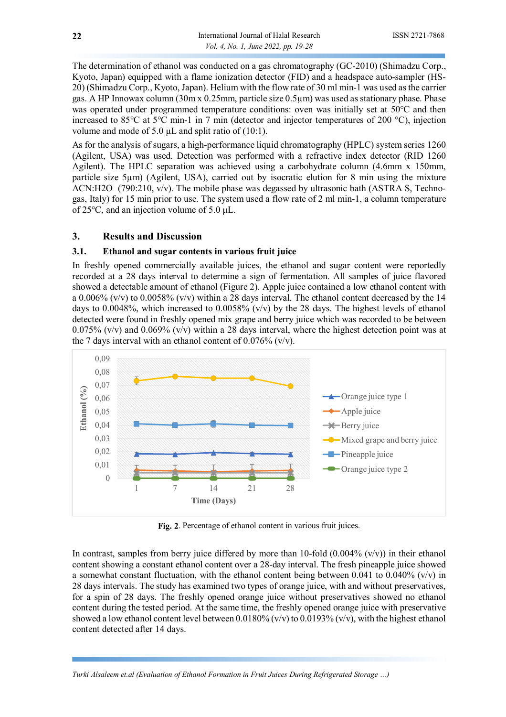The determination of ethanol was conducted on a gas chromatography (GC-2010) (Shimadzu Corp., Kyoto, Japan) equipped with a flame ionization detector (FID) and a headspace auto-sampler (HS-20) (Shimadzu Corp., Kyoto, Japan). Helium with the flow rate of 30 ml min-1 was used as the carrier gas. A HP Innowax column (30m x 0.25mm, particle size 0.5µm) was used as stationary phase. Phase was operated under programmed temperature conditions: oven was initially set at 50℃ and then increased to 85℃ at 5℃ min-1 in 7 min (detector and injector temperatures of 200 °C), injection volume and mode of 5.0  $\mu$ L and split ratio of (10:1).

As for the analysis of sugars, a high-performance liquid chromatography (HPLC) system series 1260 (Agilent, USA) was used. Detection was performed with a refractive index detector (RID 1260 Agilent). The HPLC separation was achieved using a carbohydrate column (4.6mm x 150mm, particle size 5µm) (Agilent, USA), carried out by isocratic elution for 8 min using the mixture ACN:H2O (790:210, v/v). The mobile phase was degassed by ultrasonic bath (ASTRA S, Technogas, Italy) for 15 min prior to use. The system used a flow rate of 2 ml min-1, a column temperature of 25℃, and an injection volume of 5.0 μL.

#### **3. Results and Discussion**

#### **3.1. Ethanol and sugar contents in various fruit juice**

In freshly opened commercially available juices, the ethanol and sugar content were reportedly recorded at a 28 days interval to determine a sign of fermentation. All samples of juice flavored showed a detectable amount of ethanol (Figure 2). Apple juice contained a low ethanol content with a  $0.006\%$  (v/v) to  $0.0058\%$  (v/v) within a 28 days interval. The ethanol content decreased by the 14 days to 0.0048%, which increased to 0.0058%  $(v/v)$  by the 28 days. The highest levels of ethanol detected were found in freshly opened mix grape and berry juice which was recorded to be between 0.075% (v/v) and 0.069% (v/v) within a 28 days interval, where the highest detection point was at the 7 days interval with an ethanol content of  $0.076\%$  (v/v).



**Fig. 2**. Percentage of ethanol content in various fruit juices.

In contrast, samples from berry juice differed by more than 10-fold  $(0.004\%$  (v/v)) in their ethanol content showing a constant ethanol content over a 28-day interval. The fresh pineapple juice showed a somewhat constant fluctuation, with the ethanol content being between 0.041 to 0.040% ( $v/v$ ) in 28 days intervals. The study has examined two types of orange juice, with and without preservatives, for a spin of 28 days. The freshly opened orange juice without preservatives showed no ethanol content during the tested period. At the same time, the freshly opened orange juice with preservative showed a low ethanol content level between 0.0180%  $(v/v)$  to 0.0193%  $(v/v)$ , with the highest ethanol content detected after 14 days.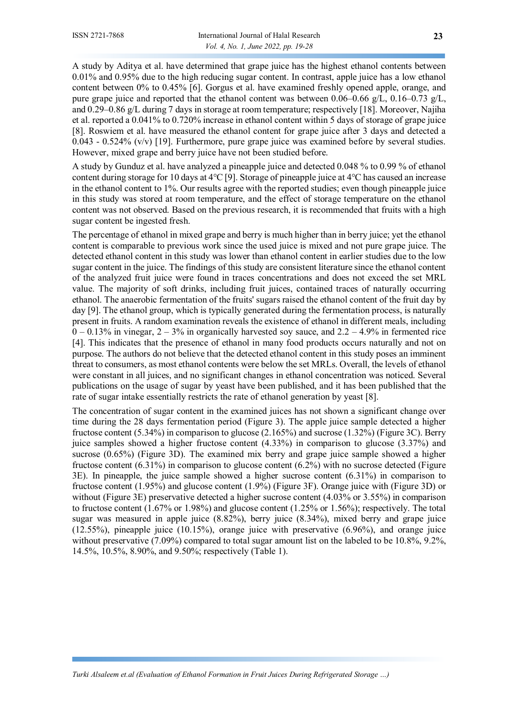A study by Aditya et al. have determined that grape juice has the highest ethanol contents between 0.01% and 0.95% due to the high reducing sugar content. In contrast, apple juice has a low ethanol content between 0% to 0.45% [6]. Gorgus et al. have examined freshly opened apple, orange, and pure grape juice and reported that the ethanol content was between 0.06–0.66 g/L, 0.16–0.73 g/L, and 0.29–0.86 g/L during 7 days in storage at room temperature; respectively [18]. Moreover, Najiha et al. reported a 0.041% to 0.720% increase in ethanol content within 5 days of storage of grape juice [8]. Roswiem et al. have measured the ethanol content for grape juice after 3 days and detected a 0.043 - 0.524% (v/v) [19]. Furthermore, pure grape juice was examined before by several studies. However, mixed grape and berry juice have not been studied before.

A study by Gunduz et al. have analyzed a pineapple juice and detected 0.048 % to 0.99 % of ethanol content during storage for 10 days at 4℃ [9]. Storage of pineapple juice at 4℃ has caused an increase in the ethanol content to 1%. Our results agree with the reported studies; even though pineapple juice in this study was stored at room temperature, and the effect of storage temperature on the ethanol content was not observed. Based on the previous research, it is recommended that fruits with a high sugar content be ingested fresh.

The percentage of ethanol in mixed grape and berry is much higher than in berry juice; yet the ethanol content is comparable to previous work since the used juice is mixed and not pure grape juice. The detected ethanol content in this study was lower than ethanol content in earlier studies due to the low sugar content in the juice. The findings of this study are consistent literature since the ethanol content of the analyzed fruit juice were found in traces concentrations and does not exceed the set MRL value. The majority of soft drinks, including fruit juices, contained traces of naturally occurring ethanol. The anaerobic fermentation of the fruits' sugars raised the ethanol content of the fruit day by day [9]. The ethanol group, which is typically generated during the fermentation process, is naturally present in fruits. A random examination reveals the existence of ethanol in different meals, including  $0 - 0.13\%$  in vinegar,  $2 - 3\%$  in organically harvested soy sauce, and  $2.2 - 4.9\%$  in fermented rice [4]. This indicates that the presence of ethanol in many food products occurs naturally and not on purpose. The authors do not believe that the detected ethanol content in this study poses an imminent threat to consumers, as most ethanol contents were below the set MRLs. Overall, the levels of ethanol were constant in all juices, and no significant changes in ethanol concentration was noticed. Several publications on the usage of sugar by yeast have been published, and it has been published that the rate of sugar intake essentially restricts the rate of ethanol generation by yeast [8].

The concentration of sugar content in the examined juices has not shown a significant change over time during the 28 days fermentation period (Figure 3). The apple juice sample detected a higher fructose content (5.34%) in comparison to glucose (2.165%) and sucrose (1.32%) (Figure 3C). Berry juice samples showed a higher fructose content (4.33%) in comparison to glucose (3.37%) and sucrose (0.65%) (Figure 3D). The examined mix berry and grape juice sample showed a higher fructose content (6.31%) in comparison to glucose content (6.2%) with no sucrose detected (Figure 3E). In pineapple, the juice sample showed a higher sucrose content (6.31%) in comparison to fructose content (1.95%) and glucose content (1.9%) (Figure 3F). Orange juice with (Figure 3D) or without (Figure 3E) preservative detected a higher sucrose content (4.03% or 3.55%) in comparison to fructose content (1.67% or 1.98%) and glucose content (1.25% or 1.56%); respectively. The total sugar was measured in apple juice (8.82%), berry juice (8.34%), mixed berry and grape juice (12.55%), pineapple juice (10.15%), orange juice with preservative (6.96%), and orange juice without preservative (7.09%) compared to total sugar amount list on the labeled to be 10.8%, 9.2%, 14.5%, 10.5%, 8.90%, and 9.50%; respectively (Table 1).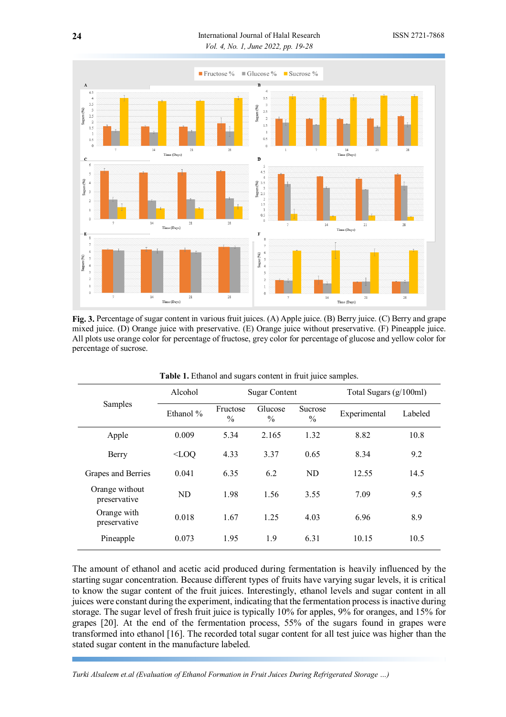**24** International Journal of Halal Research ISSN 2721-7868

*Vol. 4, No. 1, June 2022, pp. 19-28*



**Fig. 3.** Percentage of sugar content in various fruit juices. (A) Apple juice. (B) Berry juice. (C) Berry and grape mixed juice. (D) Orange juice with preservative. (E) Orange juice without preservative. (F) Pineapple juice. All plots use orange color for percentage of fructose, grey color for percentage of glucose and yellow color for percentage of sucrose.

| Samples                        | Alcohol   | Sugar Content             |                          |                          | Total Sugars $(g/100ml)$ |         |
|--------------------------------|-----------|---------------------------|--------------------------|--------------------------|--------------------------|---------|
|                                | Ethanol % | Fructose<br>$\frac{0}{0}$ | Glucose<br>$\frac{0}{0}$ | Sucrose<br>$\frac{0}{0}$ | Experimental             | Labeled |
| Apple                          | 0.009     | 5.34                      | 2.165                    | 1.32                     | 8.82                     | 10.8    |
| Berry                          | $<$ LOQ   | 4.33                      | 3.37                     | 0.65                     | 8.34                     | 9.2     |
| Grapes and Berries             | 0.041     | 6.35                      | 6.2                      | <b>ND</b>                | 12.55                    | 14.5    |
| Orange without<br>preservative | ND        | 1.98                      | 1.56                     | 3.55                     | 7.09                     | 9.5     |
| Orange with<br>preservative    | 0.018     | 1.67                      | 1.25                     | 4.03                     | 6.96                     | 8.9     |
| Pineapple                      | 0.073     | 1.95                      | 1.9                      | 6.31                     | 10.15                    | 10.5    |

|  |  | <b>Table 1.</b> Ethanol and sugars content in fruit juice samples. |
|--|--|--------------------------------------------------------------------|
|--|--|--------------------------------------------------------------------|

The amount of ethanol and acetic acid produced during fermentation is heavily influenced by the starting sugar concentration. Because different types of fruits have varying sugar levels, it is critical to know the sugar content of the fruit juices. Interestingly, ethanol levels and sugar content in all juices were constant during the experiment, indicating that the fermentation process is inactive during storage. The sugar level of fresh fruit juice is typically 10% for apples, 9% for oranges, and 15% for grapes [20]. At the end of the fermentation process, 55% of the sugars found in grapes were transformed into ethanol [16]. The recorded total sugar content for all test juice was higher than the stated sugar content in the manufacture labeled.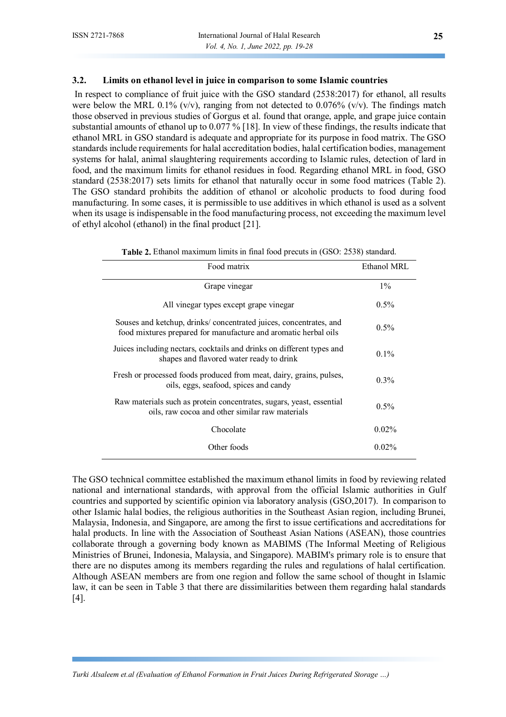#### **3.2. Limits on ethanol level in juice in comparison to some Islamic countries**

 In respect to compliance of fruit juice with the GSO standard (2538:2017) for ethanol, all results were below the MRL 0.1% (v/v), ranging from not detected to 0.076% (v/v). The findings match those observed in previous studies of Gorgus et al. found that orange, apple, and grape juice contain substantial amounts of ethanol up to 0.077 % [18]. In view of these findings, the results indicate that ethanol MRL in GSO standard is adequate and appropriate for its purpose in food matrix. The GSO standards include requirements for halal accreditation bodies, halal certification bodies, management systems for halal, animal slaughtering requirements according to Islamic rules, detection of lard in food, and the maximum limits for ethanol residues in food. Regarding ethanol MRL in food, GSO standard (2538:2017) sets limits for ethanol that naturally occur in some food matrices (Table 2). The GSO standard prohibits the addition of ethanol or alcoholic products to food during food manufacturing. In some cases, it is permissible to use additives in which ethanol is used as a solvent when its usage is indispensable in the food manufacturing process, not exceeding the maximum level of ethyl alcohol (ethanol) in the final product [21].

| Food matrix                                                                                                                          | Ethanol MRL |
|--------------------------------------------------------------------------------------------------------------------------------------|-------------|
| Grape vinegar                                                                                                                        | $1\%$       |
| All vinegar types except grape vinegar                                                                                               | $0.5\%$     |
| Souses and ketchup, drinks/concentrated juices, concentrates, and<br>food mixtures prepared for manufacture and aromatic herbal oils | $0.5\%$     |
| Juices including nectars, cocktails and drinks on different types and<br>shapes and flavored water ready to drink                    | $0.1\%$     |
| Fresh or processed foods produced from meat, dairy, grains, pulses,<br>oils, eggs, seafood, spices and candy                         | $0.3\%$     |
| Raw materials such as protein concentrates, sugars, yeast, essential<br>oils, raw cocoa and other similar raw materials              | $0.5\%$     |
| Chocolate                                                                                                                            | $0.02\%$    |
| Other foods                                                                                                                          | $0.02\%$    |

**Table 2.** Ethanol maximum limits in final food precuts in (GSO: 2538) standard.

The GSO technical committee established the maximum ethanol limits in food by reviewing related national and international standards, with approval from the official Islamic authorities in Gulf countries and supported by scientific opinion via laboratory analysis (GSO,2017). In comparison to other Islamic halal bodies, the religious authorities in the Southeast Asian region, including Brunei, Malaysia, Indonesia, and Singapore, are among the first to issue certifications and accreditations for halal products. In line with the Association of Southeast Asian Nations (ASEAN), those countries collaborate through a governing body known as MABIMS (The Informal Meeting of Religious Ministries of Brunei, Indonesia, Malaysia, and Singapore). MABIM's primary role is to ensure that there are no disputes among its members regarding the rules and regulations of halal certification. Although ASEAN members are from one region and follow the same school of thought in Islamic law, it can be seen in Table 3 that there are dissimilarities between them regarding halal standards [4].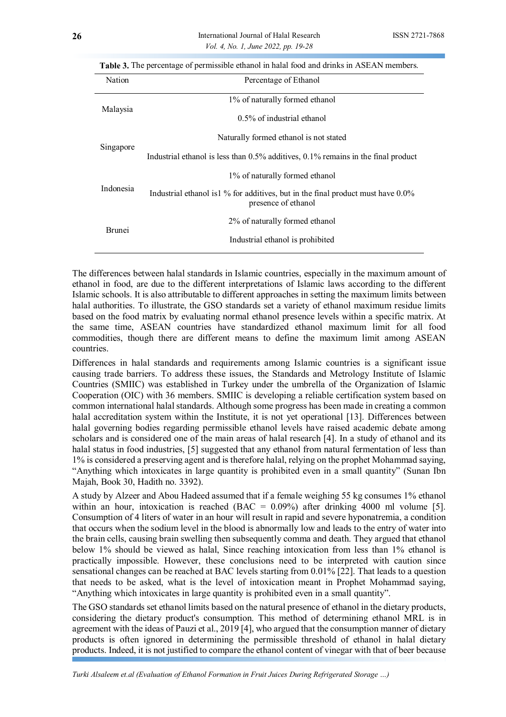| Nation        | Percentage of Ethanol                                                                                   |
|---------------|---------------------------------------------------------------------------------------------------------|
| Malaysia      | 1% of naturally formed ethanol                                                                          |
|               | $0.5\%$ of industrial ethanol                                                                           |
| Singapore     | Naturally formed ethanol is not stated                                                                  |
|               | Industrial ethanol is less than 0.5% additives, 0.1% remains in the final product                       |
| Indonesia     | 1% of naturally formed ethanol                                                                          |
|               | Industrial ethanol is 1 % for additives, but in the final product must have 0.0%<br>presence of ethanol |
| <b>Brunei</b> | 2% of naturally formed ethanol                                                                          |
|               | Industrial ethanol is prohibited                                                                        |

**Table 3.** The percentage of permissible ethanol in halal food and drinks in ASEAN members.

The differences between halal standards in Islamic countries, especially in the maximum amount of ethanol in food, are due to the different interpretations of Islamic laws according to the different Islamic schools. It is also attributable to different approaches in setting the maximum limits between halal authorities. To illustrate, the GSO standards set a variety of ethanol maximum residue limits based on the food matrix by evaluating normal ethanol presence levels within a specific matrix. At the same time, ASEAN countries have standardized ethanol maximum limit for all food commodities, though there are different means to define the maximum limit among ASEAN countries.

Differences in halal standards and requirements among Islamic countries is a significant issue causing trade barriers. To address these issues, the Standards and Metrology Institute of Islamic Countries (SMIIC) was established in Turkey under the umbrella of the Organization of Islamic Cooperation (OIC) with 36 members. SMIIC is developing a reliable certification system based on common international halal standards. Although some progress has been made in creating a common halal accreditation system within the Institute, it is not yet operational [13]. Differences between halal governing bodies regarding permissible ethanol levels have raised academic debate among scholars and is considered one of the main areas of halal research [4]. In a study of ethanol and its halal status in food industries, [5] suggested that any ethanol from natural fermentation of less than 1% is considered a preserving agent and is therefore halal, relying on the prophet Mohammad saying, "Anything which intoxicates in large quantity is prohibited even in a small quantity" (Sunan Ibn Majah, Book 30, Hadith no. 3392).

A study by Alzeer and Abou Hadeed assumed that if a female weighing 55 kg consumes 1% ethanol within an hour, intoxication is reached (BAC =  $0.09\%$ ) after drinking 4000 ml volume [5]. Consumption of 4 liters of water in an hour will result in rapid and severe hyponatremia, a condition that occurs when the sodium level in the blood is abnormally low and leads to the entry of water into the brain cells, causing brain swelling then subsequently comma and death. They argued that ethanol below 1% should be viewed as halal, Since reaching intoxication from less than 1% ethanol is practically impossible. However, these conclusions need to be interpreted with caution since sensational changes can be reached at BAC levels starting from 0.01% [22]. That leads to a question that needs to be asked, what is the level of intoxication meant in Prophet Mohammad saying, "Anything which intoxicates in large quantity is prohibited even in a small quantity".

The GSO standards set ethanol limits based on the natural presence of ethanol in the dietary products, considering the dietary product's consumption. This method of determining ethanol MRL is in agreement with the ideas of Pauzi et al., 2019 [4], who argued that the consumption manner of dietary products is often ignored in determining the permissible threshold of ethanol in halal dietary products. Indeed, it is not justified to compare the ethanol content of vinegar with that of beer because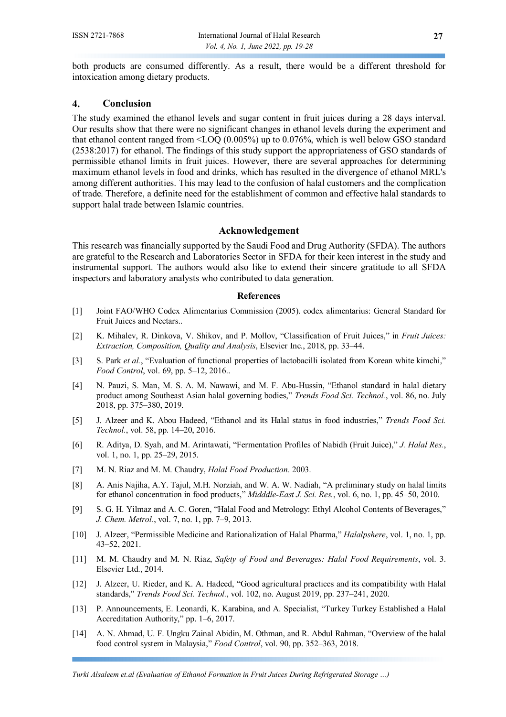both products are consumed differently. As a result, there would be a different threshold for intoxication among dietary products.

#### **4. Conclusion**

The study examined the ethanol levels and sugar content in fruit juices during a 28 days interval. Our results show that there were no significant changes in ethanol levels during the experiment and that ethanol content ranged from ˂LOQ (0.005%) up to 0.076%, which is well below GSO standard (2538:2017) for ethanol. The findings of this study support the appropriateness of GSO standards of permissible ethanol limits in fruit juices. However, there are several approaches for determining maximum ethanol levels in food and drinks, which has resulted in the divergence of ethanol MRL's among different authorities. This may lead to the confusion of halal customers and the complication of trade. Therefore, a definite need for the establishment of common and effective halal standards to support halal trade between Islamic countries.

#### **Acknowledgement**

This research was financially supported by the Saudi Food and Drug Authority (SFDA). The authors are grateful to the Research and Laboratories Sector in SFDA for their keen interest in the study and instrumental support. The authors would also like to extend their sincere gratitude to all SFDA inspectors and laboratory analysts who contributed to data generation.

#### **References**

- [1] Joint FAO/WHO Codex Alimentarius Commission (2005). codex alimentarius: General Standard for Fruit Juices and Nectars..
- [2] K. Mihalev, R. Dinkova, V. Shikov, and P. Mollov, "Classification of Fruit Juices," in *Fruit Juices: Extraction, Composition, Quality and Analysis*, Elsevier Inc., 2018, pp. 33–44.
- [3] S. Park *et al.*, "Evaluation of functional properties of lactobacilli isolated from Korean white kimchi," *Food Control*, vol. 69, pp. 5–12, 2016..
- [4] N. Pauzi, S. Man, M. S. A. M. Nawawi, and M. F. Abu-Hussin, "Ethanol standard in halal dietary product among Southeast Asian halal governing bodies," *Trends Food Sci. Technol.*, vol. 86, no. July 2018, pp. 375–380, 2019.
- [5] J. Alzeer and K. Abou Hadeed, "Ethanol and its Halal status in food industries," *Trends Food Sci. Technol.*, vol. 58, pp. 14–20, 2016.
- [6] R. Aditya, D. Syah, and M. Arintawati, "Fermentation Profiles of Nabidh (Fruit Juice)," *J. Halal Res.*, vol. 1, no. 1, pp. 25–29, 2015.
- [7] M. N. Riaz and M. M. Chaudry, *Halal Food Production*. 2003.
- [8] A. Anis Najiha, A.Y. Tajul, M.H. Norziah, and W. A. W. Nadiah, "A preliminary study on halal limits for ethanol concentration in food products," *Midddle-East J. Sci. Res.*, vol. 6, no. 1, pp. 45–50, 2010.
- [9] S. G. H. Yilmaz and A. C. Goren, "Halal Food and Metrology: Ethyl Alcohol Contents of Beverages," *J. Chem. Metrol.*, vol. 7, no. 1, pp. 7–9, 2013.
- [10] J. Alzeer, "Permissible Medicine and Rationalization of Halal Pharma," *Halalpshere*, vol. 1, no. 1, pp. 43–52, 2021.
- [11] M. M. Chaudry and M. N. Riaz, *Safety of Food and Beverages: Halal Food Requirements*, vol. 3. Elsevier Ltd., 2014.
- [12] J. Alzeer, U. Rieder, and K. A. Hadeed, "Good agricultural practices and its compatibility with Halal standards," *Trends Food Sci. Technol.*, vol. 102, no. August 2019, pp. 237–241, 2020.
- [13] P. Announcements, E. Leonardi, K. Karabina, and A. Specialist, "Turkey Turkey Established a Halal Accreditation Authority," pp. 1–6, 2017.
- [14] A. N. Ahmad, U. F. Ungku Zainal Abidin, M. Othman, and R. Abdul Rahman, "Overview of the halal food control system in Malaysia," *Food Control*, vol. 90, pp. 352–363, 2018.